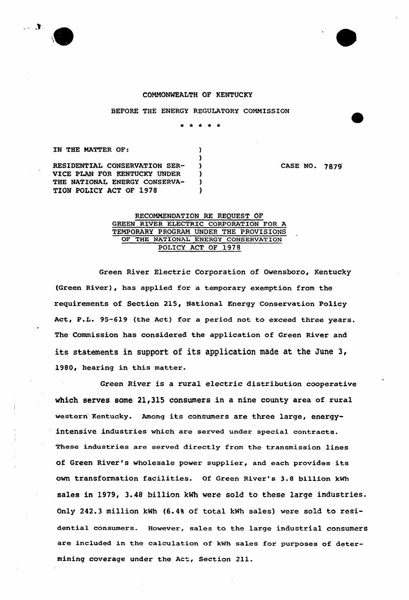



BEFORE THE ENERGY REGULATORY COMMISSION

\* \* \* \* \*

 $\lambda$ 1 -1  $\lambda$  $\lambda$ 

IN THE MATTER OF: RESIDENTIAL CONSERVATION SER-VICE PLAN FOR KENTUCKY UNDER THE NATIONAL ENERGY CONSERVA-TION POLICY ACT OF 1978

CASE NO. 7879

## RECOMMENDATION RE REQUEST OF GREEN RIVER ELECTRIC CORPORATION FOR A TEMPORARY PROGRAM UNDER THE PROVISIONS OF THE NATIONAL ENERGY CONSERVATION POLICY ACT OF 1978

Green River Electric Corporation of Owensboro, Kentucky (Green River), has applied for a temporary exemption from the requirements of Section 215, National Energy Conservation Policy Act, P.L. 95-619 (the Act) for a period not to exceed three years. The Commission has considered the application of Green River and its statements in support of its application made at the June 3, 1980, hearing in this matter.

Green River is a rural electric distribution cooperative which serves some 21,315 consumers in a nine county area of rural western Kentucky. Among its consumers are three large, energyintensive industries which are served under special contracts. These industries are served directly from the transmission lines of Green River's wholesale power supplier, and each provides its own transformation facilities. Of Green River's 3.8 billion kwh sales in 1979, 3.48 billion kWh were sold to these large industries. Only 242.3 million kWh {6.4% of total kNh sales) were sold to residential consumers. However, sales to the large industrial consumers are included in the calculation of kwh sales for purposes of determining coverage under the Act, Section 211.